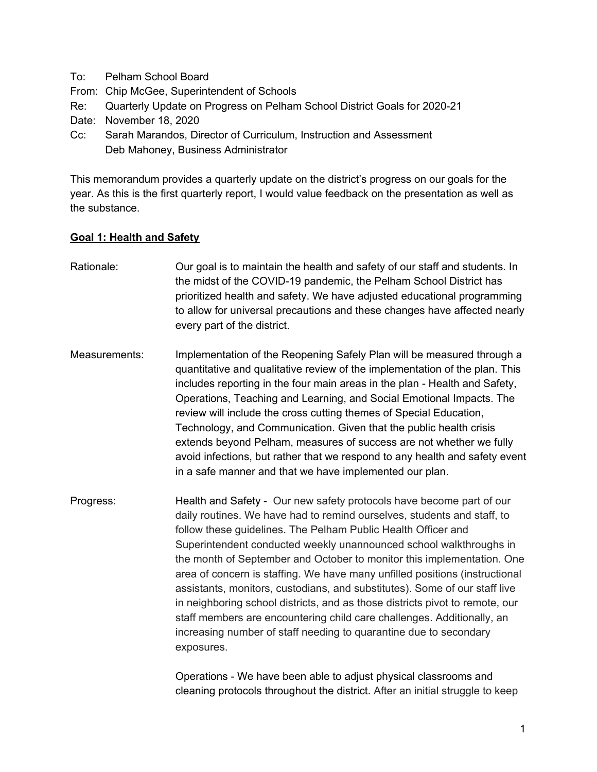- To: Pelham School Board
- From: Chip McGee, Superintendent of Schools
- Re: Quarterly Update on Progress on Pelham School District Goals for 2020-21
- Date: November 18, 2020
- Cc: Sarah Marandos, Director of Curriculum, Instruction and Assessment Deb Mahoney, Business Administrator

This memorandum provides a quarterly update on the district's progress on our goals for the year. As this is the first quarterly report, I would value feedback on the presentation as well as the substance.

## **Goal 1: Health and Safety**

- Rationale: Our goal is to maintain the health and safety of our staff and students. In the midst of the COVID-19 pandemic, the Pelham School District has prioritized health and safety. We have adjusted educational programming to allow for universal precautions and these changes have affected nearly every part of the district.
- Measurements: Implementation of the Reopening Safely Plan will be measured through a quantitative and qualitative review of the implementation of the plan. This includes reporting in the four main areas in the plan - Health and Safety, Operations, Teaching and Learning, and Social Emotional Impacts. The review will include the cross cutting themes of Special Education, Technology, and Communication. Given that the public health crisis extends beyond Pelham, measures of success are not whether we fully avoid infections, but rather that we respond to any health and safety event in a safe manner and that we have implemented our plan.
- Progress: Health and Safety Our new safety protocols have become part of our daily routines. We have had to remind ourselves, students and staff, to follow these guidelines. The Pelham Public Health Officer and Superintendent conducted weekly unannounced school walkthroughs in the month of September and October to monitor this implementation. One area of concern is staffing. We have many unfilled positions (instructional assistants, monitors, custodians, and substitutes). Some of our staff live in neighboring school districts, and as those districts pivot to remote, our staff members are encountering child care challenges. Additionally, an increasing number of staff needing to quarantine due to secondary exposures.

Operations - We have been able to adjust physical classrooms and cleaning protocols throughout the district. After an initial struggle to keep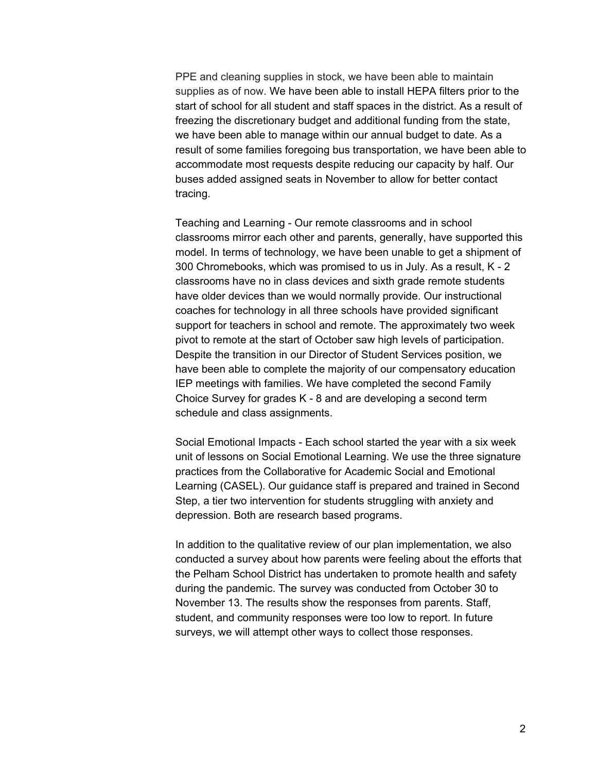PPE and cleaning supplies in stock, we have been able to maintain supplies as of now. We have been able to install HEPA filters prior to the start of school for all student and staff spaces in the district. As a result of freezing the discretionary budget and additional funding from the state, we have been able to manage within our annual budget to date. As a result of some families foregoing bus transportation, we have been able to accommodate most requests despite reducing our capacity by half. Our buses added assigned seats in November to allow for better contact tracing.

Teaching and Learning - Our remote classrooms and in school classrooms mirror each other and parents, generally, have supported this model. In terms of technology, we have been unable to get a shipment of 300 Chromebooks, which was promised to us in July. As a result, K - 2 classrooms have no in class devices and sixth grade remote students have older devices than we would normally provide. Our instructional coaches for technology in all three schools have provided significant support for teachers in school and remote. The approximately two week pivot to remote at the start of October saw high levels of participation. Despite the transition in our Director of Student Services position, we have been able to complete the majority of our compensatory education IEP meetings with families. We have completed the second Family Choice Survey for grades K - 8 and are developing a second term schedule and class assignments.

Social Emotional Impacts - Each school started the year with a six week unit of lessons on Social Emotional Learning. We use the three signature practices from the Collaborative for Academic Social and Emotional Learning (CASEL). Our guidance staff is prepared and trained in Second Step, a tier two intervention for students struggling with anxiety and depression. Both are research based programs.

In addition to the qualitative review of our plan implementation, we also conducted a survey about how parents were feeling about the efforts that the Pelham School District has undertaken to promote health and safety during the pandemic. The survey was conducted from October 30 to November 13. The results show the responses from parents. Staff, student, and community responses were too low to report. In future surveys, we will attempt other ways to collect those responses.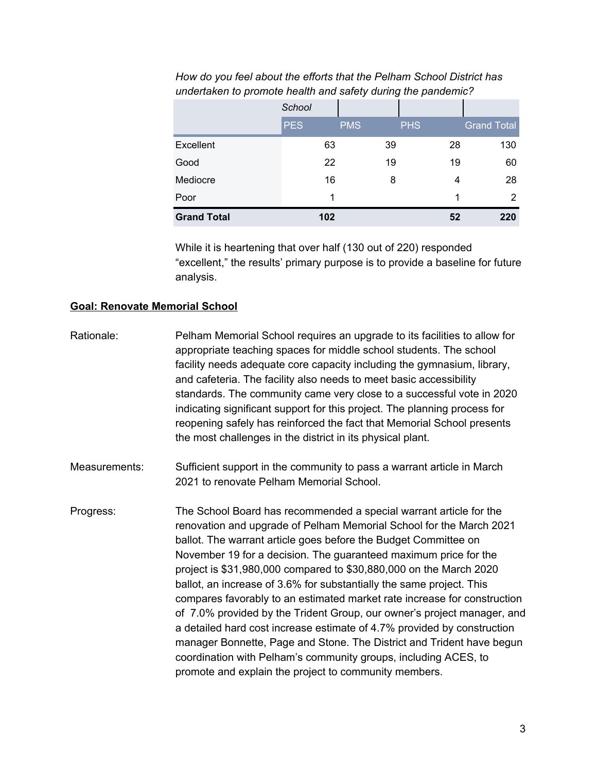|                    | School     |            |            |                    |
|--------------------|------------|------------|------------|--------------------|
|                    | <b>PES</b> | <b>PMS</b> | <b>PHS</b> | <b>Grand Total</b> |
| Excellent          | 63         | 39         | 28         | 130                |
| Good               | 22         | 19         | 19         | 60                 |
| Mediocre           | 16         | 8          | 4          | 28                 |
| Poor               | 1          |            |            | 2                  |
| <b>Grand Total</b> | 102        |            | 52         | 220                |

*How do you feel about the efforts that the Pelham School District has undertaken to promote health and safety during the pandemic?*

While it is heartening that over half (130 out of 220) responded "excellent," the results' primary purpose is to provide a baseline for future analysis.

## **Goal: Renovate Memorial School**

Rationale: Pelham Memorial School requires an upgrade to its facilities to allow for appropriate teaching spaces for middle school students. The school facility needs adequate core capacity including the gymnasium, library, and cafeteria. The facility also needs to meet basic accessibility standards. The community came very close to a successful vote in 2020 indicating significant support for this project. The planning process for reopening safely has reinforced the fact that Memorial School presents the most challenges in the district in its physical plant. Measurements: Sufficient support in the community to pass a warrant article in March 2021 to renovate Pelham Memorial School. Progress: The School Board has recommended a special warrant article for the renovation and upgrade of Pelham Memorial School for the March 2021 ballot. The warrant article goes before the Budget Committee on November 19 for a decision. The guaranteed maximum price for the project is \$31,980,000 compared to \$30,880,000 on the March 2020 ballot, an increase of 3.6% for substantially the same project. This compares favorably to an estimated market rate increase for construction of 7.0% provided by the Trident Group, our owner's project manager, and a detailed hard cost increase estimate of 4.7% provided by construction manager Bonnette, Page and Stone. The District and Trident have begun coordination with Pelham's community groups, including ACES, to promote and explain the project to community members.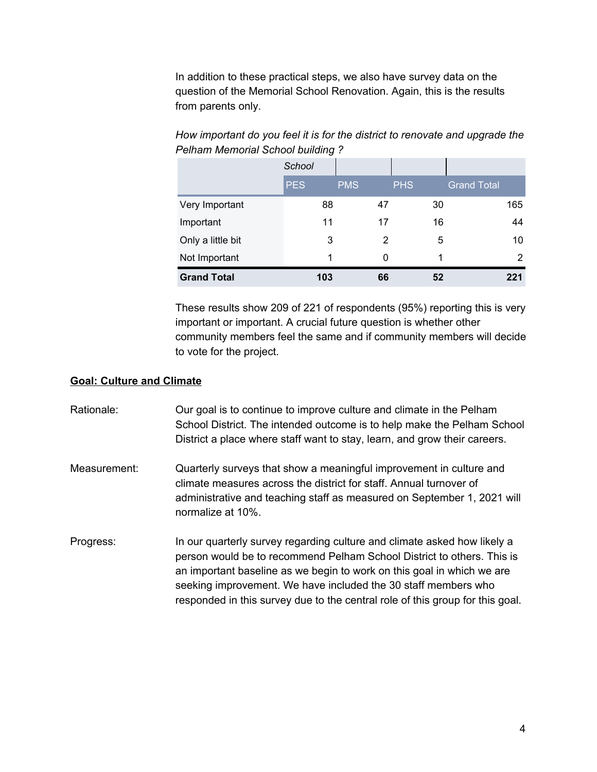In addition to these practical steps, we also have survey data on the question of the Memorial School Renovation. Again, this is the results from parents only.

|                    | School     |            |            |                    |
|--------------------|------------|------------|------------|--------------------|
|                    | <b>PES</b> | <b>PMS</b> | <b>PHS</b> | <b>Grand Total</b> |
| Very Important     | 88         | 47         | 30         | 165                |
| Important          | 11         | 17         | 16         | 44                 |
| Only a little bit  | 3          | 2          | 5          | 10                 |
| Not Important      | 1          | 0          | 1          | 2                  |
| <b>Grand Total</b> | 103        | 66         | 52         | 221                |

*How important do you feel it is for the district to renovate and upgrade the Pelham Memorial School building ?*

These results show 209 of 221 of respondents (95%) reporting this is very important or important. A crucial future question is whether other community members feel the same and if community members will decide to vote for the project.

## **Goal: Culture and Climate**

| Rationale:   | Our goal is to continue to improve culture and climate in the Pelham<br>School District. The intended outcome is to help make the Pelham School<br>District a place where staff want to stay, learn, and grow their careers.                                                                                                                                                    |
|--------------|---------------------------------------------------------------------------------------------------------------------------------------------------------------------------------------------------------------------------------------------------------------------------------------------------------------------------------------------------------------------------------|
| Measurement: | Quarterly surveys that show a meaningful improvement in culture and<br>climate measures across the district for staff. Annual turnover of<br>administrative and teaching staff as measured on September 1, 2021 will<br>normalize at 10%.                                                                                                                                       |
| Progress:    | In our quarterly survey regarding culture and climate asked how likely a<br>person would be to recommend Pelham School District to others. This is<br>an important baseline as we begin to work on this goal in which we are<br>seeking improvement. We have included the 30 staff members who<br>responded in this survey due to the central role of this group for this goal. |